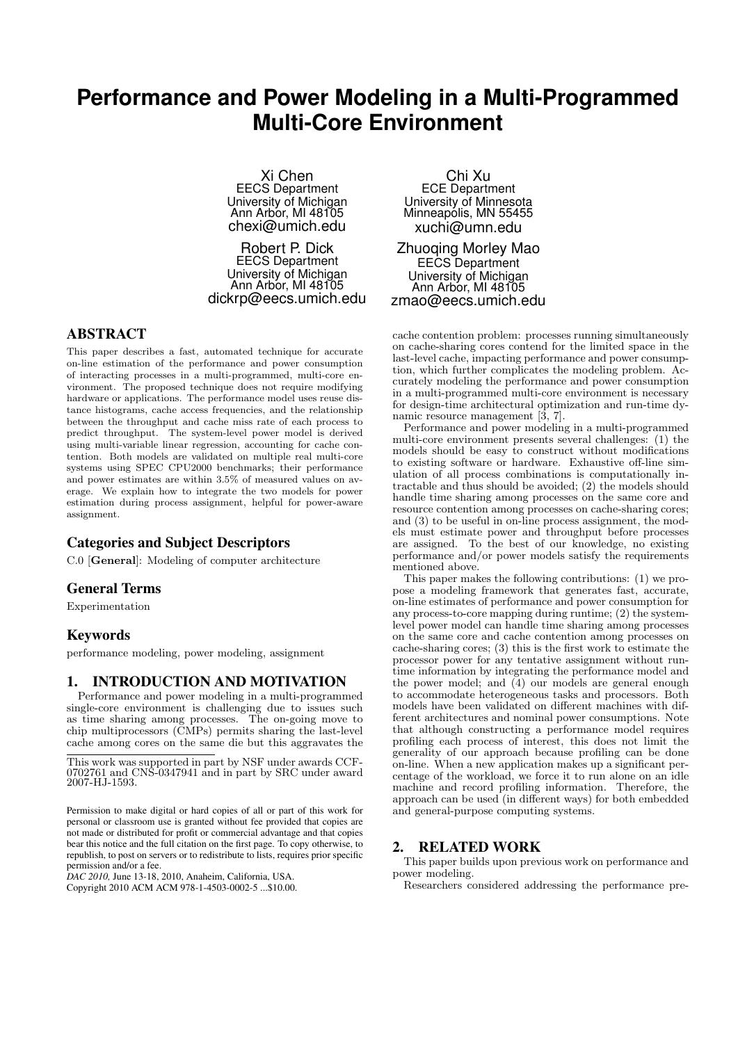# **Performance and Power Modeling in a Multi-Programmed Multi-Core Environment**

Xi Chen EECS Department University of Michigan Ann Arbor, MI 48105 chexi@umich.edu

Robert P. Dick EECS Department University of Michigan Ann Arbor, MI 48105 dickrp@eecs.umich.edu

# ABSTRACT

This paper describes a fast, automated technique for accurate on-line estimation of the performance and power consumption of interacting processes in a multi-programmed, multi-core environment. The proposed technique does not require modifying hardware or applications. The performance model uses reuse distance histograms, cache access frequencies, and the relationship between the throughput and cache miss rate of each process to predict throughput. The system-level power model is derived using multi-variable linear regression, accounting for cache contention. Both models are validated on multiple real multi-core systems using SPEC CPU2000 benchmarks; their performance and power estimates are within 3.5% of measured values on average. We explain how to integrate the two models for power estimation during process assignment, helpful for power-aware assignment.

# Categories and Subject Descriptors

C.0 [General]: Modeling of computer architecture

# General Terms

Experimentation

# Keywords

performance modeling, power modeling, assignment

#### 1. INTRODUCTION AND MOTIVATION

Performance and power modeling in a multi-programmed single-core environment is challenging due to issues such as time sharing among processes. The on-going move to chip multiprocessors (CMPs) permits sharing the last-level cache among cores on the same die but this aggravates the

*DAC 2010,* June 13-18, 2010, Anaheim, California, USA. Copyright 2010 ACM ACM 978-1-4503-0002-5 ...\$10.00.

Chi Xu ECE Department University of Minnesota Minneapolis, MN 55455 xuchi@umn.edu

Zhuoqing Morley Mao EECS Department University of Michigan Ann Arbor, MI 48105 zmao@eecs.umich.edu

cache contention problem: processes running simultaneously on cache-sharing cores contend for the limited space in the last-level cache, impacting performance and power consumption, which further complicates the modeling problem. Accurately modeling the performance and power consumption in a multi-programmed multi-core environment is necessary for design-time architectural optimization and run-time dynamic resource management [3, 7].

Performance and power modeling in a multi-programmed multi-core environment presents several challenges: (1) the models should be easy to construct without modifications to existing software or hardware. Exhaustive off-line simulation of all process combinations is computationally intractable and thus should be avoided; (2) the models should handle time sharing among processes on the same core and resource contention among processes on cache-sharing cores; and (3) to be useful in on-line process assignment, the models must estimate power and throughput before processes are assigned. To the best of our knowledge, no existing performance and/or power models satisfy the requirements mentioned above.

This paper makes the following contributions: (1) we propose a modeling framework that generates fast, accurate, on-line estimates of performance and power consumption for any process-to-core mapping during runtime; (2) the systemlevel power model can handle time sharing among processes on the same core and cache contention among processes on cache-sharing cores; (3) this is the first work to estimate the processor power for any tentative assignment without runtime information by integrating the performance model and the power model; and (4) our models are general enough to accommodate heterogeneous tasks and processors. Both models have been validated on different machines with different architectures and nominal power consumptions. Note that although constructing a performance model requires profiling each process of interest, this does not limit the generality of our approach because profiling can be done on-line. When a new application makes up a significant percentage of the workload, we force it to run alone on an idle machine and record profiling information. Therefore, the approach can be used (in different ways) for both embedded and general-purpose computing systems.

# 2. RELATED WORK

This paper builds upon previous work on performance and power modeling.

Researchers considered addressing the performance pre-

This work was supported in part by NSF under awards CCF-0702761 and CNS-0347941 and in part by SRC under award 2007-HJ-1593.

Permission to make digital or hard copies of all or part of this work for personal or classroom use is granted without fee provided that copies are not made or distributed for profit or commercial advantage and that copies bear this notice and the full citation on the first page. To copy otherwise, to republish, to post on servers or to redistribute to lists, requires prior specific permission and/or a fee.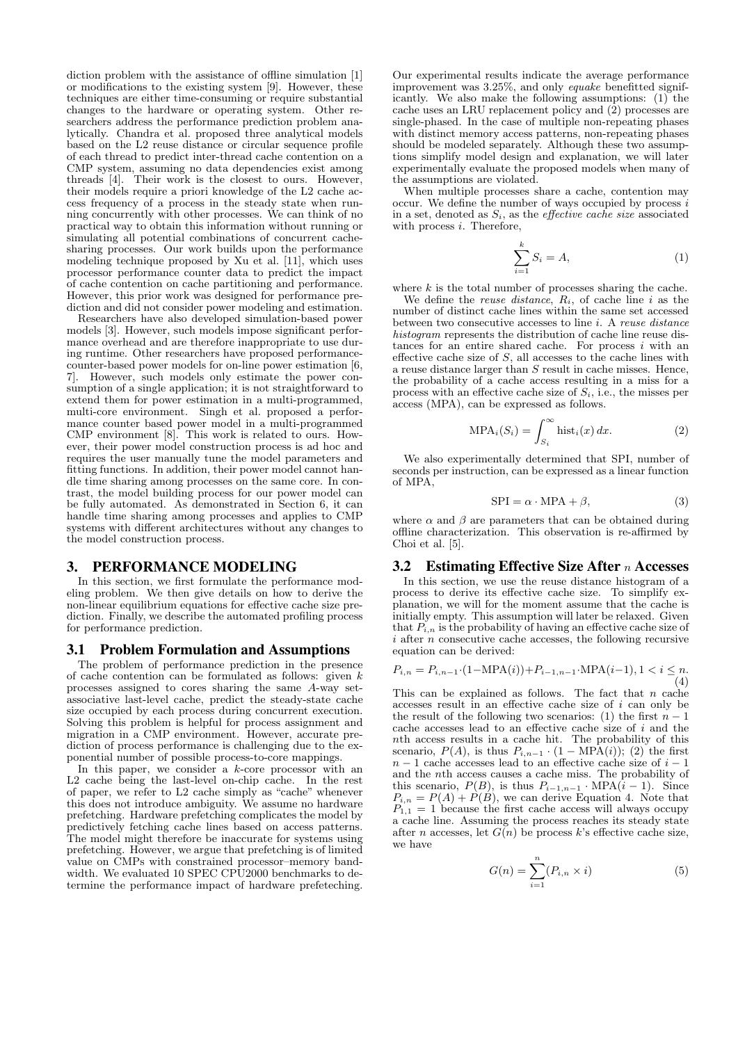diction problem with the assistance of offline simulation [1] or modifications to the existing system [9]. However, these techniques are either time-consuming or require substantial changes to the hardware or operating system. Other researchers address the performance prediction problem analytically. Chandra et al. proposed three analytical models based on the L2 reuse distance or circular sequence profile of each thread to predict inter-thread cache contention on a CMP system, assuming no data dependencies exist among threads [4]. Their work is the closest to ours. However, their models require a priori knowledge of the L2 cache access frequency of a process in the steady state when running concurrently with other processes. We can think of no practical way to obtain this information without running or simulating all potential combinations of concurrent cachesharing processes. Our work builds upon the performance modeling technique proposed by Xu et al. [11], which uses processor performance counter data to predict the impact of cache contention on cache partitioning and performance. However, this prior work was designed for performance prediction and did not consider power modeling and estimation.

Researchers have also developed simulation-based power models [3]. However, such models impose significant performance overhead and are therefore inappropriate to use during runtime. Other researchers have proposed performancecounter-based power models for on-line power estimation [6, 7]. However, such models only estimate the power consumption of a single application; it is not straightforward to extend them for power estimation in a multi-programmed, multi-core environment. Singh et al. proposed a performance counter based power model in a multi-programmed CMP environment [8]. This work is related to ours. However, their power model construction process is ad hoc and requires the user manually tune the model parameters and fitting functions. In addition, their power model cannot handle time sharing among processes on the same core. In contrast, the model building process for our power model can be fully automated. As demonstrated in Section 6, it can handle time sharing among processes and applies to CMP systems with different architectures without any changes to the model construction process.

#### 3. PERFORMANCE MODELING

In this section, we first formulate the performance modeling problem. We then give details on how to derive the non-linear equilibrium equations for effective cache size prediction. Finally, we describe the automated profiling process for performance prediction.

#### 3.1 Problem Formulation and Assumptions

The problem of performance prediction in the presence of cache contention can be formulated as follows: given  $k$ processes assigned to cores sharing the same A-way setassociative last-level cache, predict the steady-state cache size occupied by each process during concurrent execution. Solving this problem is helpful for process assignment and migration in a CMP environment. However, accurate prediction of process performance is challenging due to the exponential number of possible process-to-core mappings.

In this paper, we consider a  $k$ -core processor with an L2 cache being the last-level on-chip cache. In the rest of paper, we refer to L2 cache simply as "cache" whenever this does not introduce ambiguity. We assume no hardware prefetching. Hardware prefetching complicates the model by predictively fetching cache lines based on access patterns. The model might therefore be inaccurate for systems using prefetching. However, we argue that prefetching is of limited value on CMPs with constrained processor–memory bandwidth. We evaluated 10 SPEC CPU2000 benchmarks to determine the performance impact of hardware prefeteching.

Our experimental results indicate the average performance improvement was 3.25%, and only equake benefitted significantly. We also make the following assumptions: (1) the cache uses an LRU replacement policy and (2) processes are single-phased. In the case of multiple non-repeating phases with distinct memory access patterns, non-repeating phases should be modeled separately. Although these two assumptions simplify model design and explanation, we will later experimentally evaluate the proposed models when many of the assumptions are violated.

When multiple processes share a cache, contention may occur. We define the number of ways occupied by process  $i$ in a set, denoted as  $S_i$ , as the *effective cache size* associated with process *i*. Therefore,

$$
\sum_{i=1}^{k} S_i = A,\tag{1}
$$

where  $k$  is the total number of processes sharing the cache.

We define the *reuse distance*,  $R_i$ , of cache line i as the number of distinct cache lines within the same set accessed between two consecutive accesses to line i. A reuse distance histogram represents the distribution of cache line reuse distances for an entire shared cache. For process  $i$  with an effective cache size of  $S$ , all accesses to the cache lines with a reuse distance larger than S result in cache misses. Hence, the probability of a cache access resulting in a miss for a process with an effective cache size of  $S_i$ , i.e., the misses per access (MPA), can be expressed as follows.

$$
\text{MPA}_i(S_i) = \int_{S_i}^{\infty} \text{hist}_i(x) \, dx. \tag{2}
$$

We also experimentally determined that SPI, number of seconds per instruction, can be expressed as a linear function of MPA,

$$
SPI = \alpha \cdot MPA + \beta,\tag{3}
$$

where  $\alpha$  and  $\beta$  are parameters that can be obtained during offline characterization. This observation is re-affirmed by Choi et al. [5].

#### 3.2 Estimating Effective Size After  $n$  Accesses

In this section, we use the reuse distance histogram of a process to derive its effective cache size. To simplify explanation, we will for the moment assume that the cache is initially empty. This assumption will later be relaxed. Given that  $P_{i,n}$  is the probability of having an effective cache size of  $i$  after n consecutive cache accesses, the following recursive equation can be derived:

$$
P_{i,n} = P_{i,n-1} \cdot (1 - \text{MPA}(i)) + P_{i-1,n-1} \cdot \text{MPA}(i-1), 1 < i \leq n. \tag{4}
$$

This can be explained as follows. The fact that  $n$  cache accesses result in an effective cache size of i can only be the result of the following two scenarios: (1) the first  $n-1$ cache accesses lead to an effective cache size of i and the nth access results in a cache hit. The probability of this scenario,  $P(A)$ , is thus  $P_{i,n-1} \cdot (1 - MP\hat{A}(i))$ ; (2) the first  $n - 1$  cache accesses lead to an effective cache size of  $i - 1$ and the nth access causes a cache miss. The probability of this scenario,  $P(B)$ , is thus  $P_{i-1,n-1} \cdot \text{MPA}(i-1)$ . Since  $P_{i,n} = P(A) + P(B)$ , we can derive Equation 4. Note that  $P_{1,1} = 1$  because the first cache access will always occupy a cache line. Assuming the process reaches its steady state after n accesses, let  $G(n)$  be process k's effective cache size, we have

$$
G(n) = \sum_{i=1}^{n} (P_{i,n} \times i)
$$
 (5)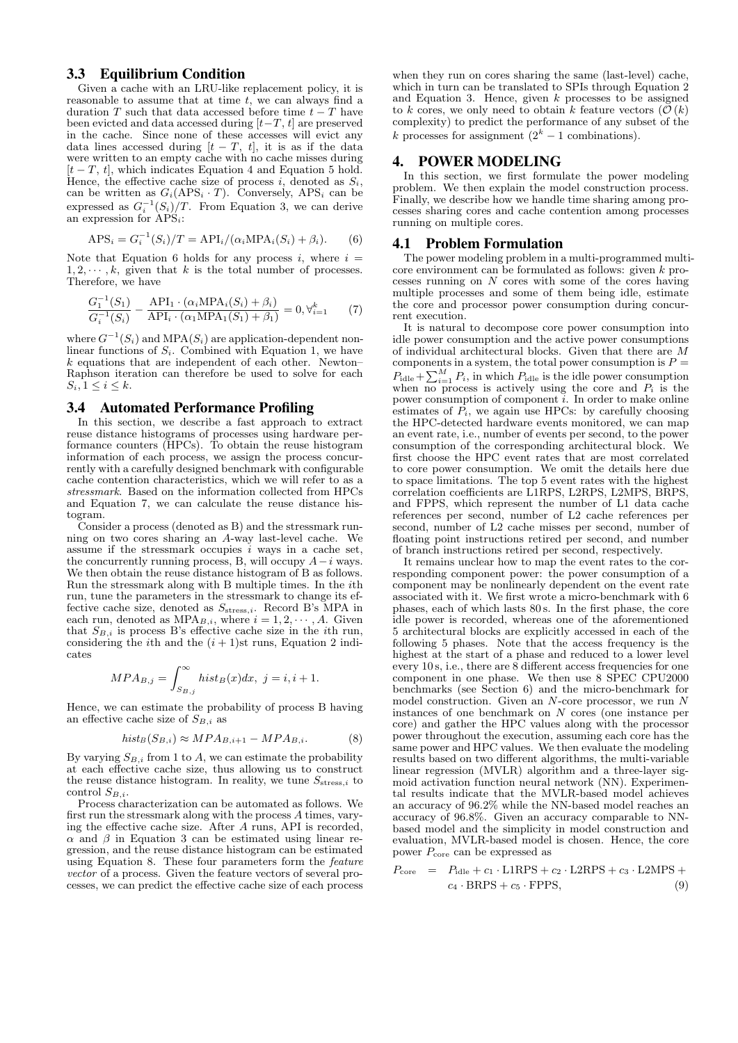## 3.3 Equilibrium Condition

Given a cache with an LRU-like replacement policy, it is reasonable to assume that at time  $t$ , we can always find a duration T such that data accessed before time  $t - T$  have been evicted and data accessed during  $[t-T, t]$  are preserved in the cache. Since none of these accesses will evict any data lines accessed during  $[t - T, t]$ , it is as if the data were written to an empty cache with no cache misses during  $[t - T, t]$ , which indicates Equation 4 and Equation 5 hold. Hence, the effective cache size of process i, denoted as  $S_i$ , can be written as  $G_i(APS_i \cdot T)$ . Conversely, APS<sub>i</sub> can be expressed as  $G_i^{-1}(S_i)/T$ . From Equation 3, we can derive an expression for  $\widehat{APS}_i$ :

$$
APSi = Gi-1(Si)/T = APIi / (\alphaiMPAi(Si) + \betai).
$$
 (6)

Note that Equation 6 holds for any process  $i$ , where  $i =$  $1, 2, \dots, k$ , given that k is the total number of processes. Therefore, we have

$$
\frac{G_1^{-1}(S_1)}{G_i^{-1}(S_i)} - \frac{\text{API}_1 \cdot (\alpha_i \text{MPA}_i(S_i) + \beta_i)}{\text{API}_i \cdot (\alpha_1 \text{MPA}_1(S_1) + \beta_1)} = 0, \forall_{i=1}^k \tag{7}
$$

where  $G^{-1}(S_i)$  and MPA $(S_i)$  are application-dependent nonlinear functions of  $S_i$ . Combined with Equation 1, we have  $k$  equations that are independent of each other. Newton– Raphson iteration can therefore be used to solve for each  $S_i, 1 \leq i \leq k$ .

#### 3.4 Automated Performance Profiling

In this section, we describe a fast approach to extract reuse distance histograms of processes using hardware performance counters (HPCs). To obtain the reuse histogram information of each process, we assign the process concurrently with a carefully designed benchmark with configurable cache contention characteristics, which we will refer to as a stressmark. Based on the information collected from HPCs and Equation 7, we can calculate the reuse distance histogram.

Consider a process (denoted as B) and the stressmark running on two cores sharing an A-way last-level cache. We assume if the stressmark occupies  $i$  ways in a cache set, the concurrently running process, B, will occupy  $A-i$  ways. We then obtain the reuse distance histogram of B as follows. Run the stressmark along with B multiple times. In the ith run, tune the parameters in the stressmark to change its effective cache size, denoted as  $S_{\text{stress},i}$ . Record B's MPA in each run, denoted as  $MPA_{B,i}$ , where  $i = 1, 2, \dots, A$ . Given that  $S_{B,i}$  is process B's effective cache size in the *i*th run, considering the *i*th and the  $(i + 1)$ st runs, Equation 2 indicates

$$
MPA_{B,j} = \int_{S_{B,j}}^{\infty} hist_B(x)dx, \ j = i, i + 1.
$$

Hence, we can estimate the probability of process B having an effective cache size of  $S_{B,i}$  as

$$
hist_{B}(S_{B,i}) \approx MPA_{B,i+1} - MPA_{B,i}.
$$
 (8)

By varying  $S_{B,i}$  from 1 to A, we can estimate the probability at each effective cache size, thus allowing us to construct the reuse distance histogram. In reality, we tune  $S_{\text{stress},i}$  to control  $S_{B,i}$ .

Process characterization can be automated as follows. We first run the stressmark along with the process A times, varying the effective cache size. After A runs, API is recorded,  $\alpha$  and  $\beta$  in Equation 3 can be estimated using linear regression, and the reuse distance histogram can be estimated using Equation 8. These four parameters form the feature vector of a process. Given the feature vectors of several processes, we can predict the effective cache size of each process

when they run on cores sharing the same (last-level) cache, which in turn can be translated to SPIs through Equation 2 and Equation 3. Hence, given  $k$  processes to be assigned to k cores, we only need to obtain k feature vectors  $(\mathcal{O}(k))$ complexity) to predict the performance of any subset of the k processes for assignment  $(2<sup>k</sup> - 1$  combinations).

#### 4. POWER MODELING

In this section, we first formulate the power modeling problem. We then explain the model construction process. Finally, we describe how we handle time sharing among processes sharing cores and cache contention among processes running on multiple cores.

#### 4.1 Problem Formulation

The power modeling problem in a multi-programmed multicore environment can be formulated as follows: given k processes running on N cores with some of the cores having multiple processes and some of them being idle, estimate the core and processor power consumption during concurrent execution.

It is natural to decompose core power consumption into idle power consumption and the active power consumptions of individual architectural blocks. Given that there are M components in a system, the total power consumption is  $P =$  $P_{\text{idle}} + \sum_{i=1}^{M} P_i$ , in which  $P_{\text{idle}}$  is the idle power consumption when no process is actively using the core and  $P_i$  is the power consumption of component  $\check{i}$ . In order to make online estimates of  $\overline{P_i}$ , we again use HPCs: by carefully choosing the HPC-detected hardware events monitored, we can map an event rate, i.e., number of events per second, to the power consumption of the corresponding architectural block. We first choose the HPC event rates that are most correlated to core power consumption. We omit the details here due to space limitations. The top 5 event rates with the highest correlation coefficients are L1RPS, L2RPS, L2MPS, BRPS, and FPPS, which represent the number of L1 data cache references per second, number of L2 cache references per second, number of L2 cache misses per second, number of floating point instructions retired per second, and number of branch instructions retired per second, respectively.

It remains unclear how to map the event rates to the corresponding component power: the power consumption of a component may be nonlinearly dependent on the event rate associated with it. We first wrote a micro-benchmark with 6 phases, each of which lasts 80 s. In the first phase, the core idle power is recorded, whereas one of the aforementioned 5 architectural blocks are explicitly accessed in each of the following 5 phases. Note that the access frequency is the highest at the start of a phase and reduced to a lower level every 10 s, i.e., there are 8 different access frequencies for one component in one phase. We then use 8 SPEC CPU2000 benchmarks (see Section 6) and the micro-benchmark for model construction. Given an N-core processor, we run N instances of one benchmark on N cores (one instance per core) and gather the HPC values along with the processor power throughout the execution, assuming each core has the same power and HPC values. We then evaluate the modeling results based on two different algorithms, the multi-variable linear regression (MVLR) algorithm and a three-layer sigmoid activation function neural network (NN). Experimental results indicate that the MVLR-based model achieves an accuracy of 96.2% while the NN-based model reaches an accuracy of 96.8%. Given an accuracy comparable to NNbased model and the simplicity in model construction and evaluation, MVLR-based model is chosen. Hence, the core power  $P_{\text{core}}$  can be expressed as

$$
P_{\text{core}} = P_{\text{idle}} + c_1 \cdot \text{L1RPS} + c_2 \cdot \text{L2RPS} + c_3 \cdot \text{L2MPS} +
$$
  

$$
c_4 \cdot \text{BRPS} + c_5 \cdot \text{FPPS}, \tag{9}
$$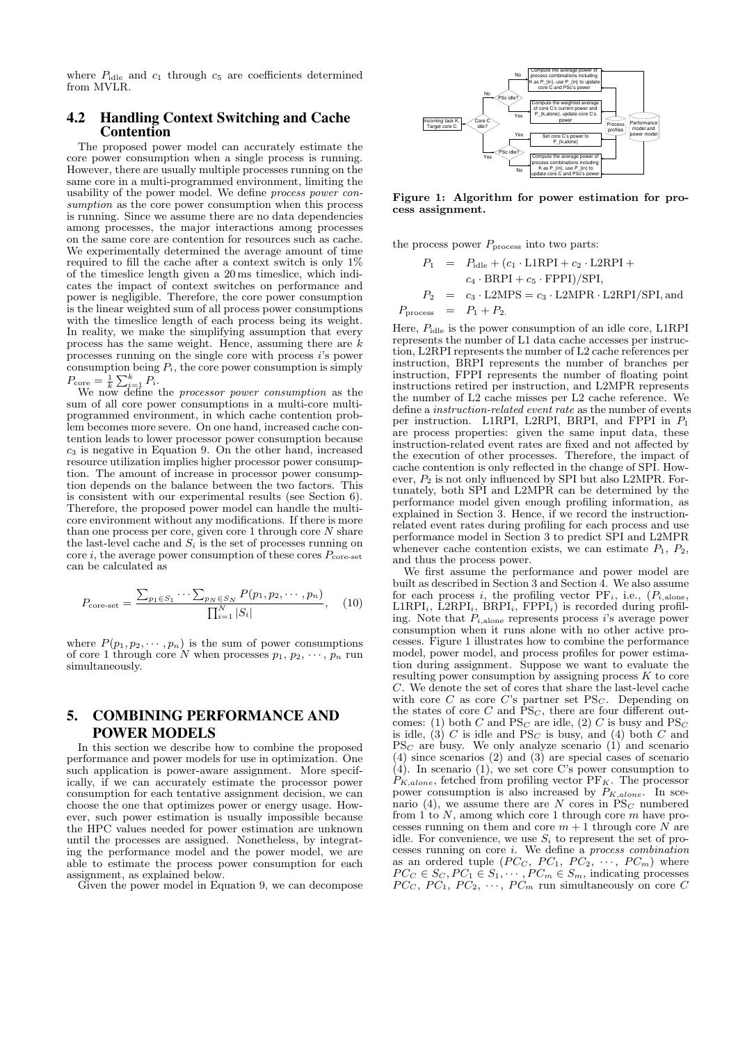where  $P_{\text{idle}}$  and  $c_1$  through  $c_5$  are coefficients determined from MVLR.

# 4.2 Handling Context Switching and Cache **Contention**

The proposed power model can accurately estimate the core power consumption when a single process is running. However, there are usually multiple processes running on the same core in a multi-programmed environment, limiting the usability of the power model. We define process power consumption as the core power consumption when this process is running. Since we assume there are no data dependencies among processes, the major interactions among processes on the same core are contention for resources such as cache. We experimentally determined the average amount of time required to fill the cache after a context switch is only 1% of the timeslice length given a 20 ms timeslice, which indicates the impact of context switches on performance and power is negligible. Therefore, the core power consumption is the linear weighted sum of all process power consumptions with the timeslice length of each process being its weight. In reality, we make the simplifying assumption that every process has the same weight. Hence, assuming there are  $k$ processes running on the single core with process  $i$ 's power consumption being  $P_i$ , the core power consumption is simply  $P_{\text{core}} = \frac{1}{k} \sum_{i=1}^{k} P_i$ .<br>We now define the *processor power consumption* as the

sum of all core power consumptions in a multi-core multiprogrammed environment, in which cache contention problem becomes more severe. On one hand, increased cache contention leads to lower processor power consumption because  $c<sub>3</sub>$  is negative in Equation 9. On the other hand, increased resource utilization implies higher processor power consumption. The amount of increase in processor power consumption depends on the balance between the two factors. This is consistent with our experimental results (see Section 6). Therefore, the proposed power model can handle the multicore environment without any modifications. If there is more than one process per core, given core  $1$  through core  $N$  share the last-level cache and  $S_i$  is the set of processes running on core i, the average power consumption of these cores  $P_{\text{core-set}}$ can be calculated as

$$
P_{\text{core-set}} = \frac{\sum_{p_1 \in S_1} \cdots \sum_{p_N \in S_N} P(p_1, p_2, \cdots, p_n)}{\prod_{i=1}^N |S_i|}, \quad (10)
$$

where  $P(p_1, p_2, \dots, p_n)$  is the sum of power consumptions of core 1 through core N when processes  $p_1, p_2, \dots, p_n$  run simultaneously.

# 5. COMBINING PERFORMANCE AND POWER MODELS

In this section we describe how to combine the proposed performance and power models for use in optimization. One such application is power-aware assignment. More specifically, if we can accurately estimate the processor power consumption for each tentative assignment decision, we can choose the one that optimizes power or energy usage. However, such power estimation is usually impossible because the HPC values needed for power estimation are unknown until the processes are assigned. Nonetheless, by integrating the performance model and the power model, we are able to estimate the process power consumption for each assignment, as explained below.

Given the power model in Equation 9, we can decompose



Figure 1: Algorithm for power estimation for process assignment.

the process power  $P_{\text{process}}$  into two parts:

$$
P_1 = P_{idle} + (c_1 \cdot \text{L1RPI} + c_2 \cdot \text{L2RPI} +
$$
  
\n
$$
c_4 \cdot \text{BRPI} + c_5 \cdot \text{FPPI}) / \text{SPI},
$$
  
\n
$$
P_2 = c_3 \cdot \text{L2MPS} = c_3 \cdot \text{L2MPR} \cdot \text{L2RPI} / \text{SPI},
$$
 and  
\n
$$
P_{process} = P_1 + P_2.
$$

Here,  $P_{\text{idle}}$  is the power consumption of an idle core, L1RPI represents the number of L1 data cache accesses per instruction, L2RPI represents the number of L2 cache references per instruction, BRPI represents the number of branches per instruction, FPPI represents the number of floating point instructions retired per instruction, and L2MPR represents the number of L2 cache misses per L2 cache reference. We define a instruction-related event rate as the number of events per instruction. L1RPI, L2RPI, BRPI, and FPPI in  $P_1$ are process properties: given the same input data, these instruction-related event rates are fixed and not affected by the execution of other processes. Therefore, the impact of cache contention is only reflected in the change of SPI. However,  $P_2$  is not only influenced by SPI but also L2MPR. Fortunately, both SPI and L2MPR can be determined by the performance model given enough profiling information, as explained in Section 3. Hence, if we record the instructionrelated event rates during profiling for each process and use performance model in Section 3 to predict SPI and L2MPR whenever cache contention exists, we can estimate  $P_1$ ,  $P_2$ , and thus the process power.

We first assume the performance and power model are built as described in Section 3 and Section 4. We also assume for each process  $i$ , the profiling vector  $PF_i$ , i.e.,  $(P_{i,\text{alone}},$  $LIRPI_i$ ,  $L2RPI_i$ ,  $BRPI_i$ ,  $FPPI_i$ ) is recorded during profiling. Note that  $P_{i,\text{alone}}$  represents process i's average power consumption when it runs alone with no other active processes. Figure 1 illustrates how to combine the performance model, power model, and process profiles for power estimation during assignment. Suppose we want to evaluate the resulting power consumption by assigning process  $K$  to core C. We denote the set of cores that share the last-level cache with core C as core C's partner set  $PS<sub>C</sub>$ . Depending on the states of core C and  $\overline{PS}_C$ , there are four different outcomes: (1) both C and  $PS_C$  are idle, (2) C is busy and  $PS_C$ is idle,  $(3)$  C is idle and  $PS_C$  is busy, and (4) both C and  $PS_C$  are busy. We only analyze scenario (1) and scenario (4) since scenarios (2) and (3) are special cases of scenario  $(4)$ . In scenario  $(1)$ , we set core C's power consumption to  $P_{K,alone}$ , fetched from profiling vector PF<sub>K</sub>. The processor power consumption is also increased by  $P_{K,alone}$ . In scenario (4), we assume there are N cores in  $PS_C$  numbered from 1 to  $N$ , among which core 1 through core  $m$  have processes running on them and core  $m + 1$  through core N are idle. For convenience, we use  $S_i$  to represent the set of processes running on core i. We define a process combination as an ordered tuple  $(PC_C, PC_1, PC_2, \cdots, PC_m)$  where  $PC_C \in S_C, PC_1 \in S_1, \cdots, PC_m \in S_m$ , indicating processes  $PC_C, PC_1, PC_2, \cdots, PC_m$  run simultaneously on core C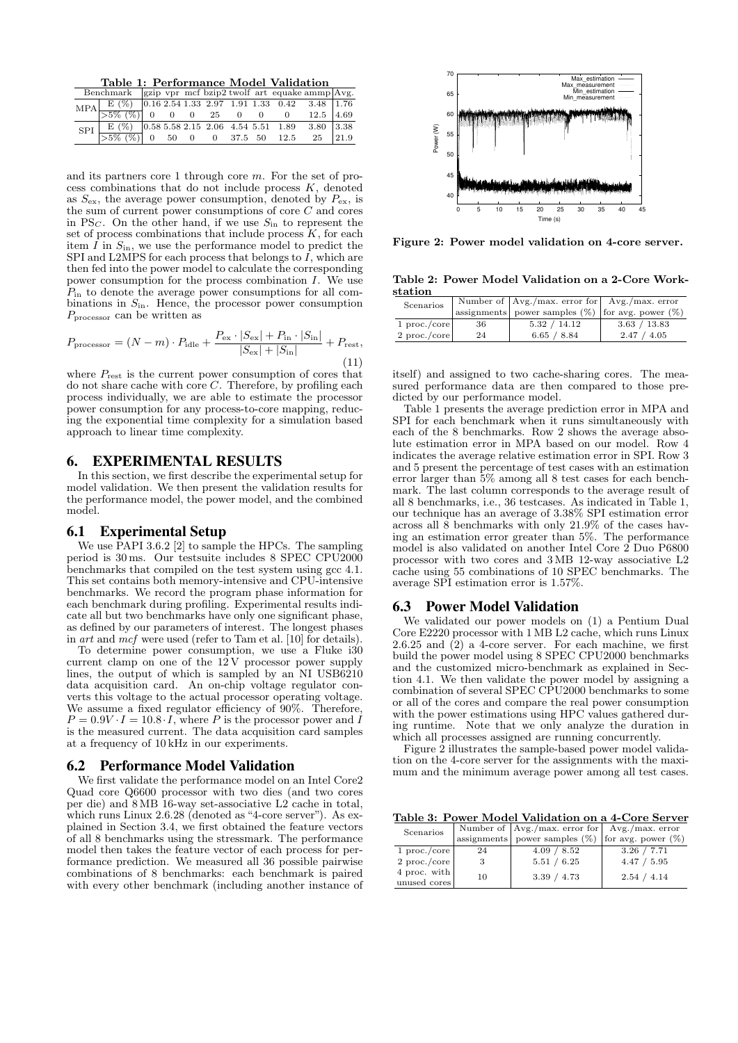Table 1: Performance Model Validation

|                                                                                                                                                                                                                           | Benchmark $\left $ gzip vpr mcf bzip2 twolf art equake ammp $\left \mathrm{Avg}\right $ . |  |  |  |  |  |
|---------------------------------------------------------------------------------------------------------------------------------------------------------------------------------------------------------------------------|-------------------------------------------------------------------------------------------|--|--|--|--|--|
| $\boxed{\text{MPA} \begin{bmatrix} E \ (\%) \\ 5\% \ (\%) \\ 0 & 0 \end{bmatrix} \begin{bmatrix} 0.16 & 2.54 & 1.33 & 2.97 & 1.91 & 1.33 & 0.42 & 3.48 & 1.76 \\ 0 & 0 & 0 & 25 & 0 & 0 & 0 & 12.5 & 4.69 \end{bmatrix}}$ |                                                                                           |  |  |  |  |  |
|                                                                                                                                                                                                                           |                                                                                           |  |  |  |  |  |
| $\begin{tabular}{c cccccc} SPI & E (\%) & 0.585.582.15 & 2.06 & 4.54 & 5.51 & 1.89 & 3.80 & 3.38 \\ \hline >5\% (\%) & 0 & 50 & 0 & 0 & 37.5 & 50 & 12.5 & 25 & 21.9 \\ \end{tabular}$                                    |                                                                                           |  |  |  |  |  |
|                                                                                                                                                                                                                           |                                                                                           |  |  |  |  |  |

and its partners core 1 through core m. For the set of process combinations that do not include process  $K$ , denoted as  $S_{\text{ex}}$ , the average power consumption, denoted by  $P_{\text{ex}}$ , is the sum of current power consumptions of core C and cores in PS<sub>C</sub>. On the other hand, if we use  $S_{in}$  to represent the set of process combinations that include process  $K$ , for each item  $I$  in  $S_{\text{in}}$ , we use the performance model to predict the SPI and L2MPS for each process that belongs to  $\hat{I}$ , which are then fed into the power model to calculate the corresponding power consumption for the process combination  $I$ . We use  $P_{\text{in}}$  to denote the average power consumptions for all combinations in  $S_{\text{in}}$ . Hence, the processor power consumption Pprocessor can be written as

$$
P_{\text{processor}} = (N - m) \cdot P_{\text{idle}} + \frac{P_{\text{ex}} \cdot |S_{\text{ex}}| + P_{\text{in}} \cdot |S_{\text{in}}|}{|S_{\text{ex}}| + |S_{\text{in}}|} + P_{\text{rest}},\tag{11}
$$

where  $P_{\text{rest}}$  is the current power consumption of cores that do not share cache with core  $C$ . Therefore, by profiling each process individually, we are able to estimate the processor power consumption for any process-to-core mapping, reducing the exponential time complexity for a simulation based approach to linear time complexity.

#### 6. EXPERIMENTAL RESULTS

In this section, we first describe the experimental setup for model validation. We then present the validation results for the performance model, the power model, and the combined model.

#### 6.1 Experimental Setup

We use PAPI 3.6.2 [2] to sample the HPCs. The sampling period is 30 ms. Our testsuite includes 8 SPEC CPU2000 benchmarks that compiled on the test system using gcc 4.1. This set contains both memory-intensive and CPU-intensive benchmarks. We record the program phase information for each benchmark during profiling. Experimental results indicate all but two benchmarks have only one significant phase, as defined by our parameters of interest. The longest phases in art and mcf were used (refer to Tam et al. [10] for details).

To determine power consumption, we use a Fluke i30 current clamp on one of the  $12V$  processor power supply lines, the output of which is sampled by an NI USB $\overline{6}210$ data acquisition card. An on-chip voltage regulator converts this voltage to the actual processor operating voltage. We assume a fixed regulator efficiency of 90%. Therefore,  $P = 0.9V \cdot I = 10.8 \cdot I$ , where P is the processor power and I is the measured current. The data acquisition card samples at a frequency of 10 kHz in our experiments.

#### 6.2 Performance Model Validation

We first validate the performance model on an Intel Core2 Quad core Q6600 processor with two dies (and two cores per die) and 8 MB 16-way set-associative L2 cache in total, which runs Linux 2.6.28 (denoted as "4-core server"). As explained in Section 3.4, we first obtained the feature vectors of all 8 benchmarks using the stressmark. The performance model then takes the feature vector of each process for performance prediction. We measured all 36 possible pairwise combinations of 8 benchmarks: each benchmark is paired with every other benchmark (including another instance of



Figure 2: Power model validation on 4-core server.

Table 2: Power Model Validation on a 2-Core Workstation

| Scenarios      |    | Number of $ Avg./max. error for $ Avg./max. error      |              |  |  |
|----------------|----|--------------------------------------------------------|--------------|--|--|
|                |    | assignments power samples $(\%)$ for avg. power $(\%)$ |              |  |  |
| $1$ proc./core | 36 | 5.32 / 14.12                                           | 3.63 / 13.83 |  |  |
| $2$ proc./core | 24 | 6.65 / 8.84                                            | 2.47 / 4.05  |  |  |
|                |    |                                                        |              |  |  |

itself) and assigned to two cache-sharing cores. The measured performance data are then compared to those predicted by our performance model.

Table 1 presents the average prediction error in MPA and SPI for each benchmark when it runs simultaneously with each of the 8 benchmarks. Row 2 shows the average absolute estimation error in MPA based on our model. Row 4 indicates the average relative estimation error in SPI. Row 3 and 5 present the percentage of test cases with an estimation error larger than 5% among all 8 test cases for each benchmark. The last column corresponds to the average result of all 8 benchmarks, i.e., 36 testcases. As indicated in Table 1, our technique has an average of 3.38% SPI estimation error across all  $\dot{8}$  benchmarks with only 21.9% of the cases having an estimation error greater than 5%. The performance model is also validated on another Intel Core 2 Duo P6800 processor with two cores and 3 MB 12-way associative L2 cache using 55 combinations of 10 SPEC benchmarks. The average SPI estimation error is 1.57%.

#### 6.3 Power Model Validation

We validated our power models on (1) a Pentium Dual Core E2220 processor with 1 MB L2 cache, which runs Linux  $2.6.25$  and  $(2)$  a 4-core server. For each machine, we first build the power model using 8 SPEC CPU2000 benchmarks and the customized micro-benchmark as explained in Section 4.1. We then validate the power model by assigning a combination of several SPEC CPU2000 benchmarks to some or all of the cores and compare the real power consumption with the power estimations using HPC values gathered during runtime. Note that we only analyze the duration in which all processes assigned are running concurrently.

Figure 2 illustrates the sample-based power model validation on the 4-core server for the assignments with the maximum and the minimum average power among all test cases.

Table 3: Power Model Validation on a 4-Core Server

| Scenarios                    |    | Number of $ Avg./max. error for $ Avg./max. error      |             |  |  |
|------------------------------|----|--------------------------------------------------------|-------------|--|--|
|                              |    | assignments power samples $(\%)$ for avg. power $(\%)$ |             |  |  |
| $1$ proc./core               | 24 | 4.09 / 8.52                                            | 3.26 / 7.71 |  |  |
| $2$ proc./core               |    | 5.51 / 6.25                                            | 4.47 / 5.95 |  |  |
| 4 proc. with<br>unused cores | 10 | 3.39 / 4.73                                            | 2.54 / 4.14 |  |  |